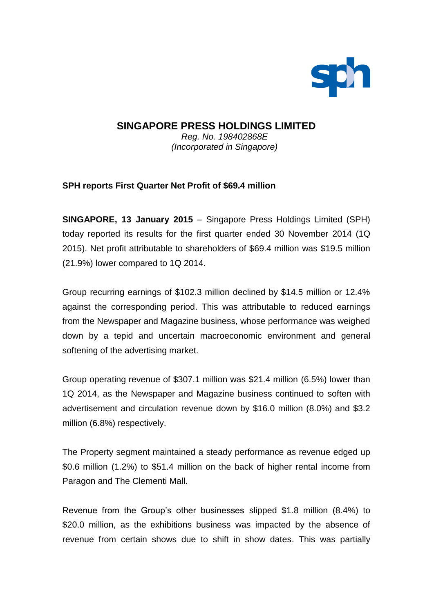

## **SINGAPORE PRESS HOLDINGS LIMITED** *Reg. No. 198402868E*

*(Incorporated in Singapore)*

# **SPH reports First Quarter Net Profit of \$69.4 million**

**SINGAPORE, 13 January 2015** – Singapore Press Holdings Limited (SPH) today reported its results for the first quarter ended 30 November 2014 (1Q 2015). Net profit attributable to shareholders of \$69.4 million was \$19.5 million (21.9%) lower compared to 1Q 2014.

Group recurring earnings of \$102.3 million declined by \$14.5 million or 12.4% against the corresponding period. This was attributable to reduced earnings from the Newspaper and Magazine business, whose performance was weighed down by a tepid and uncertain macroeconomic environment and general softening of the advertising market.

Group operating revenue of \$307.1 million was \$21.4 million (6.5%) lower than 1Q 2014, as the Newspaper and Magazine business continued to soften with advertisement and circulation revenue down by \$16.0 million (8.0%) and \$3.2 million (6.8%) respectively.

The Property segment maintained a steady performance as revenue edged up \$0.6 million (1.2%) to \$51.4 million on the back of higher rental income from Paragon and The Clementi Mall.

Revenue from the Group's other businesses slipped \$1.8 million (8.4%) to \$20.0 million, as the exhibitions business was impacted by the absence of revenue from certain shows due to shift in show dates. This was partially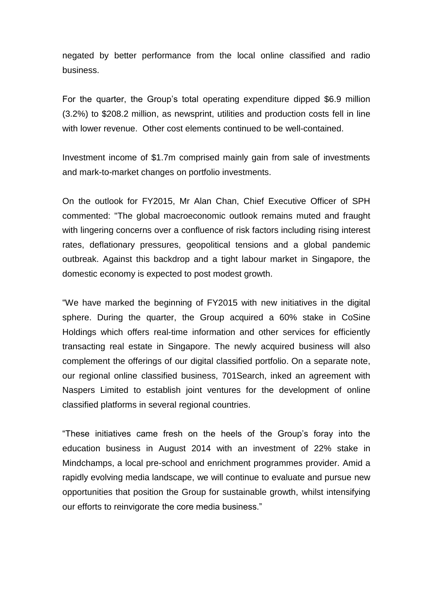negated by better performance from the local online classified and radio business.

For the quarter, the Group's total operating expenditure dipped \$6.9 million (3.2%) to \$208.2 million, as newsprint, utilities and production costs fell in line with lower revenue. Other cost elements continued to be well-contained.

Investment income of \$1.7m comprised mainly gain from sale of investments and mark-to-market changes on portfolio investments.

On the outlook for FY2015, Mr Alan Chan, Chief Executive Officer of SPH commented: "The global macroeconomic outlook remains muted and fraught with lingering concerns over a confluence of risk factors including rising interest rates, deflationary pressures, geopolitical tensions and a global pandemic outbreak. Against this backdrop and a tight labour market in Singapore, the domestic economy is expected to post modest growth.

"We have marked the beginning of FY2015 with new initiatives in the digital sphere. During the quarter, the Group acquired a 60% stake in CoSine Holdings which offers real-time information and other services for efficiently transacting real estate in Singapore. The newly acquired business will also complement the offerings of our digital classified portfolio. On a separate note, our regional online classified business, 701Search, inked an agreement with Naspers Limited to establish joint ventures for the development of online classified platforms in several regional countries.

"These initiatives came fresh on the heels of the Group's foray into the education business in August 2014 with an investment of 22% stake in Mindchamps, a local pre-school and enrichment programmes provider. Amid a rapidly evolving media landscape, we will continue to evaluate and pursue new opportunities that position the Group for sustainable growth, whilst intensifying our efforts to reinvigorate the core media business."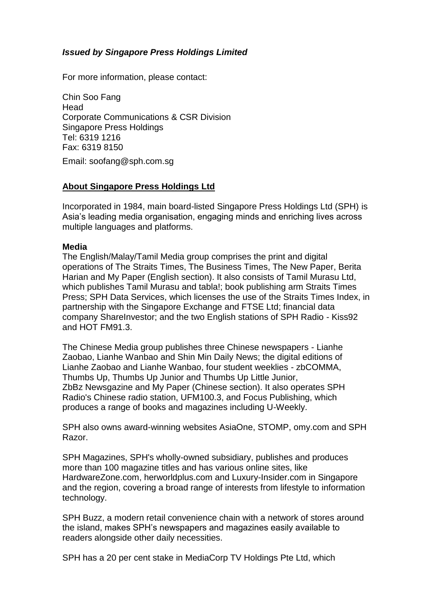## *Issued by Singapore Press Holdings Limited*

For more information, please contact:

Chin Soo Fang **Head** Corporate Communications & CSR Division Singapore Press Holdings Tel: 6319 1216 Fax: 6319 8150

Email: soofang@sph.com.sg

## **About Singapore Press Holdings Ltd**

Incorporated in 1984, main board-listed Singapore Press Holdings Ltd (SPH) is Asia's leading media organisation, engaging minds and enriching lives across multiple languages and platforms.

#### **Media**

The English/Malay/Tamil Media group comprises the print and digital operations of The Straits Times, The Business Times, The New Paper, Berita Harian and My Paper (English section). It also consists of Tamil Murasu Ltd, which publishes Tamil Murasu and tabla!; book publishing arm Straits Times Press; SPH Data Services, which licenses the use of the Straits Times Index, in partnership with the Singapore Exchange and FTSE Ltd; financial data company ShareInvestor; and the two English stations of SPH Radio - Kiss92 and HOT FM91.3.

The Chinese Media group publishes three Chinese newspapers - Lianhe Zaobao, Lianhe Wanbao and Shin Min Daily News; the digital editions of Lianhe Zaobao and Lianhe Wanbao, four student weeklies - zbCOMMA, Thumbs Up, Thumbs Up Junior and Thumbs Up Little Junior, ZbBz Newsgazine and My Paper (Chinese section). It also operates SPH Radio's Chinese radio station, UFM100.3, and Focus Publishing, which produces a range of books and magazines including U-Weekly.

SPH also owns award-winning websites AsiaOne, STOMP, [omy.](http://omy.sg/)com and SPH Razor.

SPH Magazines, SPH's wholly-owned subsidiary, publishes and produces more than 100 magazine titles and has various online sites, like [HardwareZone.com,](http://hardwarezone.com/) [herworldplus.com](http://herworldplus.com/) and [Luxury-Insider.com](http://luxuryinsider.com/) in Singapore and the region, covering a broad range of interests from lifestyle to information technology.

SPH Buzz, a modern retail convenience chain with a network of stores around the island, makes SPH's newspapers and magazines easily available to readers alongside other daily necessities.

SPH has a 20 per cent stake in MediaCorp TV Holdings Pte Ltd, which